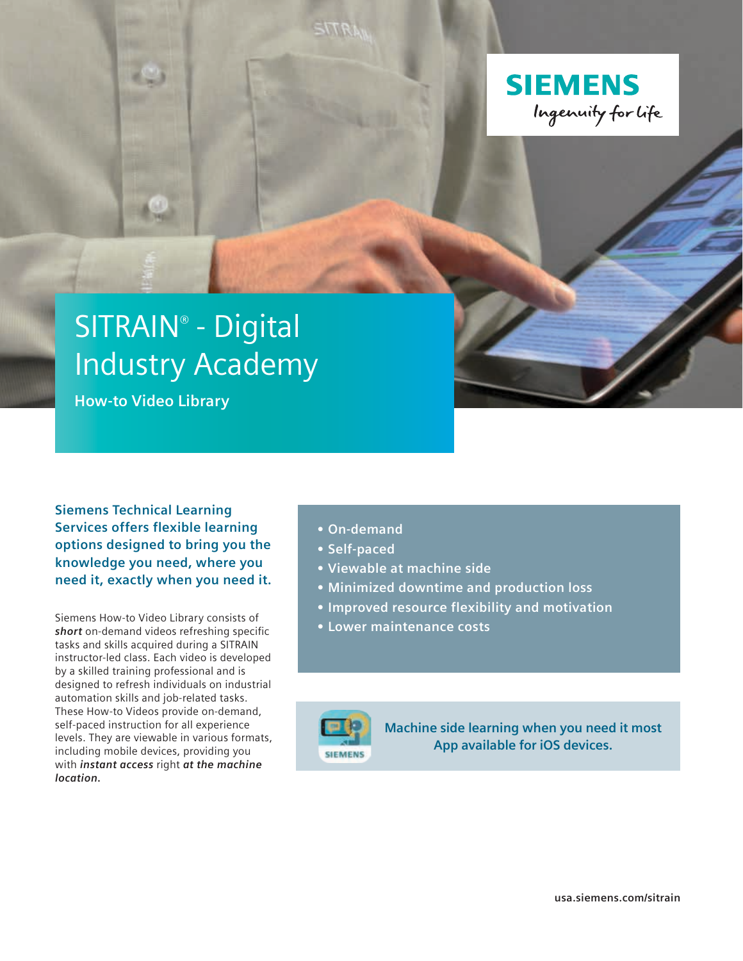

# SITRAIN® - Digital Industry Academy

**How-to Video Library**

**Siemens Technical Learning Services offers flexible learning options designed to bring you the knowledge you need, where you need it, exactly when you need it.**

Siemens How-to Video Library consists of *short* on-demand videos refreshing specific tasks and skills acquired during a SITRAIN instructor-led class. Each video is developed by a skilled training professional and is designed to refresh individuals on industrial automation skills and job-related tasks. These How-to Videos provide on-demand, self-paced instruction for all experience levels. They are viewable in various formats, including mobile devices, providing you with *instant access* right *at the machine location.*

- **• On-demand**
- **• Self-paced**
- **• Viewable at machine side**
- **• Minimized downtime and production loss**
- **• Improved resource flexibility and motivation**
- **• Lower maintenance costs**



**Machine side learning when you need it most App available for iOS devices.**